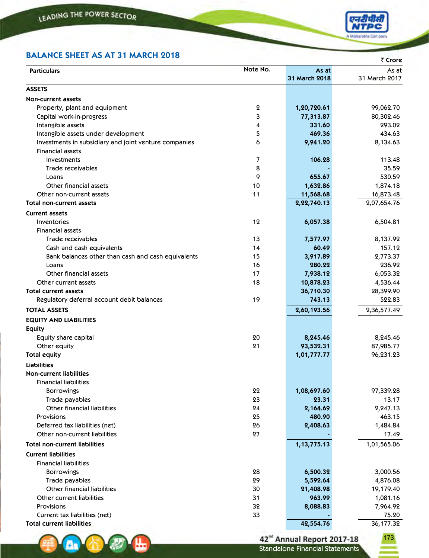**AV &** 

ш



## **BALANCE SHEET AS AT 31 MARCH 2018**

| BALANCE SHEET AS AT 31 MARCH 2018                                 |          |                        | ₹ Crore                |
|-------------------------------------------------------------------|----------|------------------------|------------------------|
| <b>Particulars</b>                                                | Note No. | As at<br>31 March 2018 | As at<br>31 March 2017 |
| <b>ASSETS</b>                                                     |          |                        |                        |
| <b>Non-current assets</b>                                         |          |                        |                        |
| Property, plant and equipment                                     | 2        | 1,20,720.61            | 99,062.70              |
| Capital work-in-progress                                          | 3        | 77,313.87              | 80,302.46              |
| Intangible assets                                                 | 4        | 331.60                 | 293.02                 |
| Intangible assets under development                               | 5        | 469.36                 | 434.63                 |
| Investments in subsidiary and joint venture companies             | 6        | 9,941.20               | 8,134.63               |
| <b>Financial assets</b>                                           |          |                        |                        |
| Investments                                                       | 7        | 106.28                 | 113.48                 |
| Trade receivables                                                 | 8        |                        | 35.59                  |
| Loans                                                             | 9        | 655.67                 | 530.59                 |
| Other financial assets                                            | 10       | 1,632.86               | 1,874.18               |
| Other non-current assets                                          | 11       | 11,568.68              | 16,873.48              |
| <b>Total non-current assets</b>                                   |          | 2,22,740.13            | 2,07,654.76            |
| <b>Current assets</b>                                             |          |                        |                        |
| Inventories                                                       | 12       | 6,057.38               | 6,504.81               |
| <b>Financial assets</b>                                           |          |                        |                        |
| Trade receivables                                                 | 13       | 7,577.97               | 8,137.92               |
| Cash and cash equivalents                                         | 14       | 60.49                  | 157.12                 |
| Bank balances other than cash and cash equivalents                | 15       | 3,917.89               | 2,773.37               |
| Loans                                                             | 16       | 280.22                 | 236.92                 |
| Other financial assets                                            | 17       | 7,938.12               | 6,053.32               |
| Other current assets                                              | 18       | 10,878.23              | 4,536.44               |
| Total current assets                                              |          | 36,710.30              | 28,399.90              |
| Regulatory deferral account debit balances                        | 19       | 743.13                 | 522.83                 |
| <b>TOTAL ASSETS</b>                                               |          | 2,60,193.56            | 2,36,577.49            |
| <b>EQUITY AND LIABILITIES</b>                                     |          |                        |                        |
| <b>Equity</b>                                                     |          |                        |                        |
| Equity share capital                                              | 20       | 8,245.46               | 8,245.46               |
| Other equity                                                      | 21       | 93,532.31              | 87,985.77              |
| <b>Total equity</b>                                               |          | 1,01,777.77            | 96,231.23              |
| <b>Liabilities</b>                                                |          |                        |                        |
| <b>Non-current liabilities</b>                                    |          |                        |                        |
| <b>Financial liabilities</b>                                      |          |                        |                        |
| <b>Borrowings</b>                                                 | 22       | 1,08,697.60            | 97,339.28              |
| Trade payables                                                    | 23       | 23.31                  | 13.17                  |
| Other financial liabilities                                       | 24       | 2,164.69               | 2,247.13               |
| Provisions                                                        | 25       | 480.90                 | 463.15                 |
| Deferred tax liabilities (net)                                    | 26       | 2,408.63               | 1,484.84               |
| Other non-current liabilities                                     | 27       |                        | 17.49                  |
| <b>Total non-current liabilities</b>                              |          | 1, 13, 775. 13         | 1,01,565.06            |
|                                                                   |          |                        |                        |
| <b>Current liabilities</b>                                        |          |                        |                        |
| <b>Financial liabilities</b>                                      |          |                        |                        |
| <b>Borrowings</b>                                                 | 28       | 6,500.32               | 3,000.56               |
| Trade payables                                                    | 29       | 5,592.64               | 4,876.08               |
| <b>Other financial liabilities</b>                                | 30       | 21,408.98              | 19,179.40              |
| Other current liabilities<br>Provisions                           | 31<br>32 | 963.99                 | 1,081.16               |
|                                                                   | 33       | 8,088.83               | 7,964.92<br>75.20      |
| Current tax liabilities (net)<br><b>Total current liabilities</b> |          | 42,554.76              | 36,177.32              |
|                                                                   |          |                        |                        |

42<sup>nd</sup> Annual Report 2017-18<br>Standalone Financial Statements

173